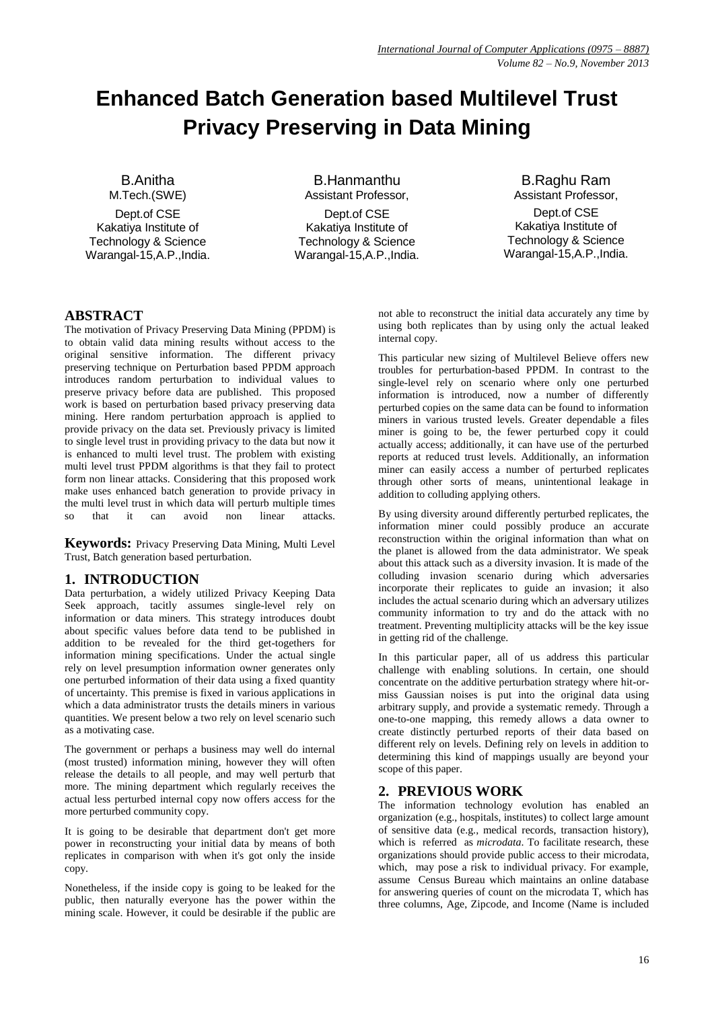# **Enhanced Batch Generation based Multilevel Trust Privacy Preserving in Data Mining**

B.Anitha M.Tech.(SWE) Dept.of CSE Kakatiya Institute of Technology & Science Warangal-15,A.P.,India.

B.Hanmanthu Assistant Professor,

Dept.of CSE Kakatiya Institute of Technology & Science Warangal-15,A.P.,India.

B.Raghu Ram Assistant Professor, Dept.of CSE Kakatiya Institute of Technology & Science Warangal-15,A.P.,India.

# **ABSTRACT**

The motivation of Privacy Preserving Data Mining (PPDM) is to obtain valid data mining results without access to the original sensitive information. The different privacy preserving technique on Perturbation based PPDM approach introduces random perturbation to individual values to preserve privacy before data are published. This proposed work is based on perturbation based privacy preserving data mining. Here random perturbation approach is applied to provide privacy on the data set. Previously privacy is limited to single level trust in providing privacy to the data but now it is enhanced to multi level trust. The problem with existing multi level trust PPDM algorithms is that they fail to protect form non linear attacks. Considering that this proposed work make uses enhanced batch generation to provide privacy in the multi level trust in which data will perturb multiple times so that it can avoid non linear attacks.

**Keywords:** Privacy Preserving Data Mining, Multi Level Trust, Batch generation based perturbation.

# **1. INTRODUCTION**

Data perturbation, a widely utilized Privacy Keeping Data Seek approach, tacitly assumes single-level rely on information or data miners. This strategy introduces doubt about specific values before data tend to be published in addition to be revealed for the third get-togethers for information mining specifications. Under the actual single rely on level presumption information owner generates only one perturbed information of their data using a fixed quantity of uncertainty. This premise is fixed in various applications in which a data administrator trusts the details miners in various quantities. We present below a two rely on level scenario such as a motivating case.

The government or perhaps a business may well do internal (most trusted) information mining, however they will often release the details to all people, and may well perturb that more. The mining department which regularly receives the actual less perturbed internal copy now offers access for the more perturbed community copy.

It is going to be desirable that department don't get more power in reconstructing your initial data by means of both replicates in comparison with when it's got only the inside copy.

Nonetheless, if the inside copy is going to be leaked for the public, then naturally everyone has the power within the mining scale. However, it could be desirable if the public are not able to reconstruct the initial data accurately any time by using both replicates than by using only the actual leaked internal copy.

This particular new sizing of Multilevel Believe offers new troubles for perturbation-based PPDM. In contrast to the single-level rely on scenario where only one perturbed information is introduced, now a number of differently perturbed copies on the same data can be found to information miners in various trusted levels. Greater dependable a files miner is going to be, the fewer perturbed copy it could actually access; additionally, it can have use of the perturbed reports at reduced trust levels. Additionally, an information miner can easily access a number of perturbed replicates through other sorts of means, unintentional leakage in addition to colluding applying others.

By using diversity around differently perturbed replicates, the information miner could possibly produce an accurate reconstruction within the original information than what on the planet is allowed from the data administrator. We speak about this attack such as a diversity invasion. It is made of the colluding invasion scenario during which adversaries incorporate their replicates to guide an invasion; it also includes the actual scenario during which an adversary utilizes community information to try and do the attack with no treatment. Preventing multiplicity attacks will be the key issue in getting rid of the challenge.

In this particular paper, all of us address this particular challenge with enabling solutions. In certain, one should concentrate on the additive perturbation strategy where hit-ormiss Gaussian noises is put into the original data using arbitrary supply, and provide a systematic remedy. Through a one-to-one mapping, this remedy allows a data owner to create distinctly perturbed reports of their data based on different rely on levels. Defining rely on levels in addition to determining this kind of mappings usually are beyond your scope of this paper.

# **2. PREVIOUS WORK**

The information technology evolution has enabled an organization (e.g., hospitals, institutes) to collect large amount of sensitive data (e.g., medical records, transaction history), which is referred as *microdata*. To facilitate research, these organizations should provide public access to their microdata, which, may pose a risk to individual privacy. For example, assume Census Bureau which maintains an online database for answering queries of count on the microdata T, which has three columns, Age, Zipcode, and Income (Name is included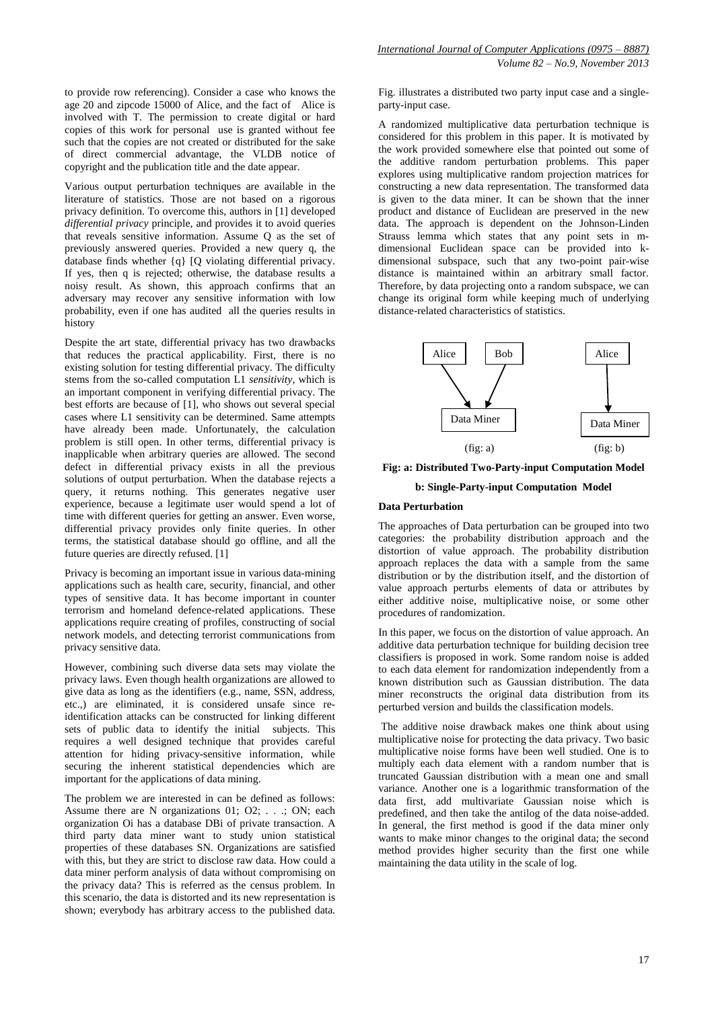to provide row referencing). Consider a case who knows the age 20 and zipcode 15000 of Alice, and the fact of Alice is involved with T. The permission to create digital or hard copies of this work for personal use is granted without fee such that the copies are not created or distributed for the sake of direct commercial advantage, the VLDB notice of copyright and the publication title and the date appear.

Various output perturbation techniques are available in the literature of statistics. Those are not based on a rigorous privacy definition. To overcome this, authors in [1] developed *differential privacy* principle, and provides it to avoid queries that reveals sensitive information. Assume Q as the set of previously answered queries. Provided a new query q, the database finds whether {q} [Q violating differential privacy. If yes, then q is rejected; otherwise, the database results a noisy result. As shown, this approach confirms that an adversary may recover any sensitive information with low probability, even if one has audited all the queries results in history

Despite the art state, differential privacy has two drawbacks that reduces the practical applicability. First, there is no existing solution for testing differential privacy. The difficulty stems from the so-called computation L1 *sensitivity*, which is an important component in verifying differential privacy. The best efforts are because of [1], who shows out several special cases where L1 sensitivity can be determined. Same attempts have already been made. Unfortunately, the calculation problem is still open. In other terms, differential privacy is inapplicable when arbitrary queries are allowed. The second defect in differential privacy exists in all the previous solutions of output perturbation. When the database rejects a query, it returns nothing. This generates negative user experience, because a legitimate user would spend a lot of time with different queries for getting an answer. Even worse, differential privacy provides only finite queries. In other terms, the statistical database should go offline, and all the future queries are directly refused. [1]

Privacy is becoming an important issue in various data-mining applications such as health care, security, financial, and other types of sensitive data. It has become important in counter terrorism and homeland defence-related applications. These applications require creating of profiles, constructing of social network models, and detecting terrorist communications from privacy sensitive data.

However, combining such diverse data sets may violate the privacy laws. Even though health organizations are allowed to give data as long as the identifiers (e.g., name, SSN, address, etc.,) are eliminated, it is considered unsafe since reidentification attacks can be constructed for linking different sets of public data to identify the initial subjects. This requires a well designed technique that provides careful attention for hiding privacy-sensitive information, while securing the inherent statistical dependencies which are important for the applications of data mining.

The problem we are interested in can be defined as follows: Assume there are N organizations 01; O2; . . .; ON; each organization Oi has a database DBi of private transaction. A third party data miner want to study union statistical properties of these databases SN. Organizations are satisfied with this, but they are strict to disclose raw data. How could a data miner perform analysis of data without compromising on the privacy data? This is referred as the census problem. In this scenario, the data is distorted and its new representation is shown; everybody has arbitrary access to the published data.

Fig. illustrates a distributed two party input case and a singleparty-input case.

A randomized multiplicative data perturbation technique is considered for this problem in this paper. It is motivated by the work provided somewhere else that pointed out some of the additive random perturbation problems. This paper explores using multiplicative random projection matrices for constructing a new data representation. The transformed data is given to the data miner. It can be shown that the inner product and distance of Euclidean are preserved in the new data. The approach is dependent on the Johnson-Linden Strauss lemma which states that any point sets in mdimensional Euclidean space can be provided into kdimensional subspace, such that any two-point pair-wise distance is maintained within an arbitrary small factor. Therefore, by data projecting onto a random subspace, we can change its original form while keeping much of underlying distance-related characteristics of statistics.



**Fig: a: Distributed Two-Party-input Computation Model**

**b: Single-Party-input Computation Model**

#### **Data Perturbation**

The approaches of Data perturbation can be grouped into two categories: the probability distribution approach and the distortion of value approach. The probability distribution approach replaces the data with a sample from the same distribution or by the distribution itself, and the distortion of value approach perturbs elements of data or attributes by either additive noise, multiplicative noise, or some other procedures of randomization.

In this paper, we focus on the distortion of value approach. An additive data perturbation technique for building decision tree classifiers is proposed in work. Some random noise is added to each data element for randomization independently from a known distribution such as Gaussian distribution. The data miner reconstructs the original data distribution from its perturbed version and builds the classification models.

The additive noise drawback makes one think about using multiplicative noise for protecting the data privacy. Two basic multiplicative noise forms have been well studied. One is to multiply each data element with a random number that is truncated Gaussian distribution with a mean one and small variance. Another one is a logarithmic transformation of the data first, add multivariate Gaussian noise which is predefined, and then take the antilog of the data noise-added. In general, the first method is good if the data miner only wants to make minor changes to the original data; the second method provides higher security than the first one while maintaining the data utility in the scale of log.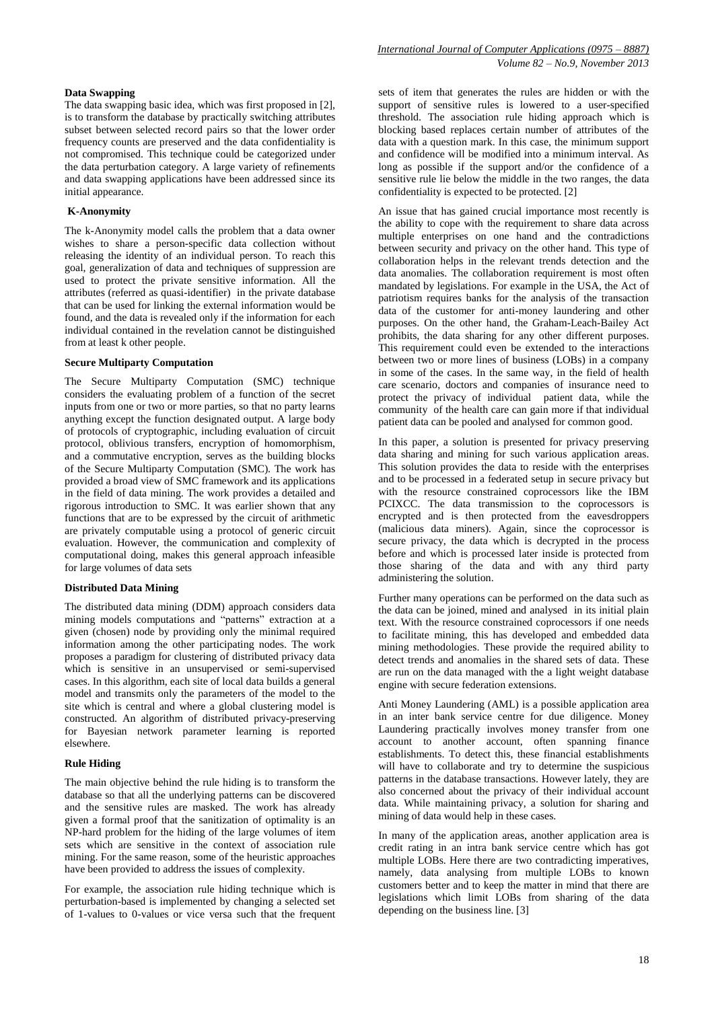#### **Data Swapping**

The data swapping basic idea, which was first proposed in [2], is to transform the database by practically switching attributes subset between selected record pairs so that the lower order frequency counts are preserved and the data confidentiality is not compromised. This technique could be categorized under the data perturbation category. A large variety of refinements and data swapping applications have been addressed since its initial appearance.

### **K-Anonymity**

The k-Anonymity model calls the problem that a data owner wishes to share a person-specific data collection without releasing the identity of an individual person. To reach this goal, generalization of data and techniques of suppression are used to protect the private sensitive information. All the attributes (referred as quasi-identifier) in the private database that can be used for linking the external information would be found, and the data is revealed only if the information for each individual contained in the revelation cannot be distinguished from at least k other people.

#### **Secure Multiparty Computation**

The Secure Multiparty Computation (SMC) technique considers the evaluating problem of a function of the secret inputs from one or two or more parties, so that no party learns anything except the function designated output. A large body of protocols of cryptographic, including evaluation of circuit protocol, oblivious transfers, encryption of homomorphism, and a commutative encryption, serves as the building blocks of the Secure Multiparty Computation (SMC). The work has provided a broad view of SMC framework and its applications in the field of data mining. The work provides a detailed and rigorous introduction to SMC. It was earlier shown that any functions that are to be expressed by the circuit of arithmetic are privately computable using a protocol of generic circuit evaluation. However, the communication and complexity of computational doing, makes this general approach infeasible for large volumes of data sets

### **Distributed Data Mining**

The distributed data mining (DDM) approach considers data mining models computations and "patterns" extraction at a given (chosen) node by providing only the minimal required information among the other participating nodes. The work proposes a paradigm for clustering of distributed privacy data which is sensitive in an unsupervised or semi-supervised cases. In this algorithm, each site of local data builds a general model and transmits only the parameters of the model to the site which is central and where a global clustering model is constructed. An algorithm of distributed privacy-preserving for Bayesian network parameter learning is reported elsewhere.

#### **Rule Hiding**

The main objective behind the rule hiding is to transform the database so that all the underlying patterns can be discovered and the sensitive rules are masked. The work has already given a formal proof that the sanitization of optimality is an NP-hard problem for the hiding of the large volumes of item sets which are sensitive in the context of association rule mining. For the same reason, some of the heuristic approaches have been provided to address the issues of complexity.

For example, the association rule hiding technique which is perturbation-based is implemented by changing a selected set of 1-values to 0-values or vice versa such that the frequent sets of item that generates the rules are hidden or with the support of sensitive rules is lowered to a user-specified threshold. The association rule hiding approach which is blocking based replaces certain number of attributes of the data with a question mark. In this case, the minimum support and confidence will be modified into a minimum interval. As long as possible if the support and/or the confidence of a sensitive rule lie below the middle in the two ranges, the data confidentiality is expected to be protected. [2]

An issue that has gained crucial importance most recently is the ability to cope with the requirement to share data across multiple enterprises on one hand and the contradictions between security and privacy on the other hand. This type of collaboration helps in the relevant trends detection and the data anomalies. The collaboration requirement is most often mandated by legislations. For example in the USA, the Act of patriotism requires banks for the analysis of the transaction data of the customer for anti-money laundering and other purposes. On the other hand, the Graham-Leach-Bailey Act prohibits, the data sharing for any other different purposes. This requirement could even be extended to the interactions between two or more lines of business (LOBs) in a company in some of the cases. In the same way, in the field of health care scenario, doctors and companies of insurance need to protect the privacy of individual patient data, while the community of the health care can gain more if that individual patient data can be pooled and analysed for common good.

In this paper, a solution is presented for privacy preserving data sharing and mining for such various application areas. This solution provides the data to reside with the enterprises and to be processed in a federated setup in secure privacy but with the resource constrained coprocessors like the IBM PCIXCC. The data transmission to the coprocessors is encrypted and is then protected from the eavesdroppers (malicious data miners). Again, since the coprocessor is secure privacy, the data which is decrypted in the process before and which is processed later inside is protected from those sharing of the data and with any third party administering the solution.

Further many operations can be performed on the data such as the data can be joined, mined and analysed in its initial plain text. With the resource constrained coprocessors if one needs to facilitate mining, this has developed and embedded data mining methodologies. These provide the required ability to detect trends and anomalies in the shared sets of data. These are run on the data managed with the a light weight database engine with secure federation extensions.

Anti Money Laundering (AML) is a possible application area in an inter bank service centre for due diligence. Money Laundering practically involves money transfer from one account to another account, often spanning finance establishments. To detect this, these financial establishments will have to collaborate and try to determine the suspicious patterns in the database transactions. However lately, they are also concerned about the privacy of their individual account data. While maintaining privacy, a solution for sharing and mining of data would help in these cases.

In many of the application areas, another application area is credit rating in an intra bank service centre which has got multiple LOBs. Here there are two contradicting imperatives, namely, data analysing from multiple LOBs to known customers better and to keep the matter in mind that there are legislations which limit LOBs from sharing of the data depending on the business line. [3]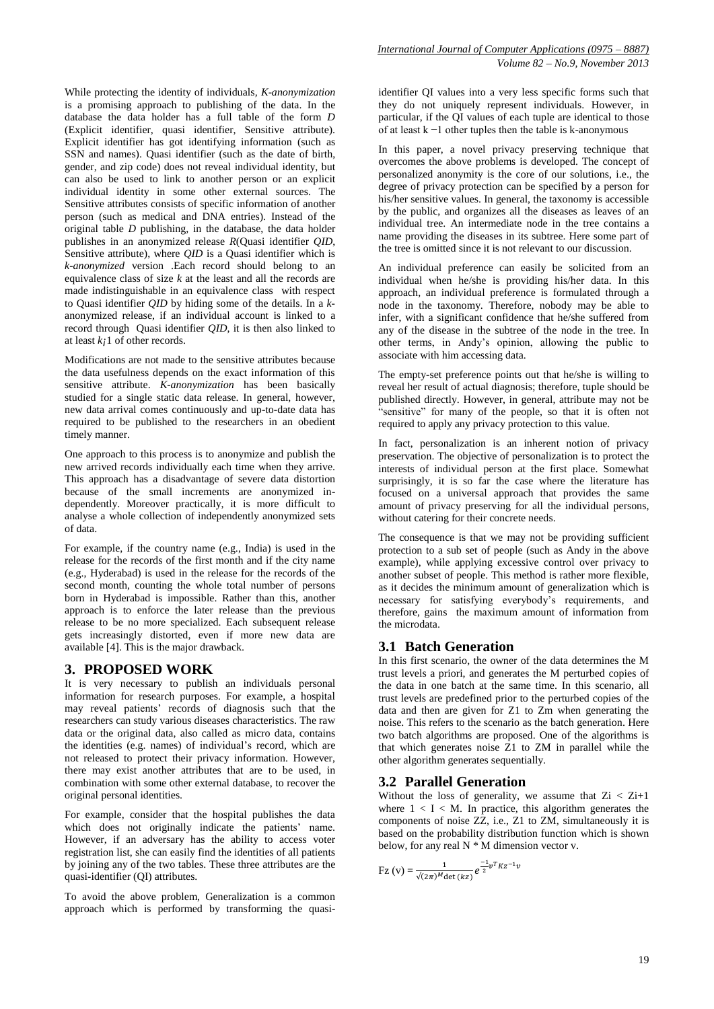While protecting the identity of individuals*, K-anonymization* is a promising approach to publishing of the data. In the database the data holder has a full table of the form *D* (Explicit identifier, quasi identifier, Sensitive attribute). Explicit identifier has got identifying information (such as SSN and names). Quasi identifier (such as the date of birth, gender, and zip code) does not reveal individual identity, but can also be used to link to another person or an explicit individual identity in some other external sources. The Sensitive attributes consists of specific information of another person (such as medical and DNA entries). Instead of the original table *D* publishing, in the database, the data holder publishes in an anonymized release *R*(Quasi identifier *QID*, Sensitive attribute), where *QID* is a Quasi identifier which is *k-anonymized* version .Each record should belong to an equivalence class of size *k* at the least and all the records are made indistinguishable in an equivalence class with respect to Quasi identifier *QID* by hiding some of the details. In a *k*anonymized release, if an individual account is linked to a record through Quasi identifier *QID*, it is then also linked to at least *k¡*1 of other records.

Modifications are not made to the sensitive attributes because the data usefulness depends on the exact information of this sensitive attribute. *K-anonymization* has been basically studied for a single static data release. In general, however, new data arrival comes continuously and up-to-date data has required to be published to the researchers in an obedient timely manner.

One approach to this process is to anonymize and publish the new arrived records individually each time when they arrive. This approach has a disadvantage of severe data distortion because of the small increments are anonymized independently. Moreover practically, it is more difficult to analyse a whole collection of independently anonymized sets of data.

For example, if the country name (e.g., India) is used in the release for the records of the first month and if the city name (e.g., Hyderabad) is used in the release for the records of the second month, counting the whole total number of persons born in Hyderabad is impossible. Rather than this, another approach is to enforce the later release than the previous release to be no more specialized. Each subsequent release gets increasingly distorted, even if more new data are available [4]. This is the major drawback.

### **3. PROPOSED WORK**

It is very necessary to publish an individuals personal information for research purposes. For example, a hospital may reveal patients' records of diagnosis such that the researchers can study various diseases characteristics. The raw data or the original data, also called as micro data, contains the identities (e.g. names) of individual's record, which are not released to protect their privacy information. However, there may exist another attributes that are to be used, in combination with some other external database, to recover the original personal identities.

For example, consider that the hospital publishes the data which does not originally indicate the patients' name. However, if an adversary has the ability to access voter registration list, she can easily find the identities of all patients by joining any of the two tables. These three attributes are the quasi-identifier (QI) attributes.

To avoid the above problem, Generalization is a common approach which is performed by transforming the quasiidentifier QI values into a very less specific forms such that they do not uniquely represent individuals. However, in particular, if the QI values of each tuple are identical to those of at least k −1 other tuples then the table is k-anonymous

In this paper, a novel privacy preserving technique that overcomes the above problems is developed. The concept of personalized anonymity is the core of our solutions, i.e., the degree of privacy protection can be specified by a person for his/her sensitive values. In general, the taxonomy is accessible by the public, and organizes all the diseases as leaves of an individual tree. An intermediate node in the tree contains a name providing the diseases in its subtree. Here some part of the tree is omitted since it is not relevant to our discussion.

An individual preference can easily be solicited from an individual when he/she is providing his/her data. In this approach, an individual preference is formulated through a node in the taxonomy. Therefore, nobody may be able to infer, with a significant confidence that he/she suffered from any of the disease in the subtree of the node in the tree. In other terms, in Andy's opinion, allowing the public to associate with him accessing data.

The empty-set preference points out that he/she is willing to reveal her result of actual diagnosis; therefore, tuple should be published directly. However, in general, attribute may not be "sensitive" for many of the people, so that it is often not required to apply any privacy protection to this value.

In fact, personalization is an inherent notion of privacy preservation. The objective of personalization is to protect the interests of individual person at the first place. Somewhat surprisingly, it is so far the case where the literature has focused on a universal approach that provides the same amount of privacy preserving for all the individual persons, without catering for their concrete needs.

The consequence is that we may not be providing sufficient protection to a sub set of people (such as Andy in the above example), while applying excessive control over privacy to another subset of people. This method is rather more flexible, as it decides the minimum amount of generalization which is necessary for satisfying everybody's requirements, and therefore, gains the maximum amount of information from the microdata.

# **3.1 Batch Generation**

In this first scenario, the owner of the data determines the M trust levels a priori, and generates the M perturbed copies of the data in one batch at the same time. In this scenario, all trust levels are predefined prior to the perturbed copies of the data and then are given for Z1 to Zm when generating the noise. This refers to the scenario as the batch generation. Here two batch algorithms are proposed. One of the algorithms is that which generates noise Z1 to ZM in parallel while the other algorithm generates sequentially.

# **3.2 Parallel Generation**

Without the loss of generality, we assume that  $Z_i < Z_{i+1}$ where  $1 < I < M$ . In practice, this algorithm generates the components of noise  $Z\overline{Z}$ , i.e.,  $Z1$  to  $Z\overline{M}$ , simultaneously it is based on the probability distribution function which is shown below, for any real  $N * M$  dimension vector v.

$$
Fz (v) = \frac{1}{\sqrt{(2\pi)^M \det(kz)}} e^{\frac{-1}{2}v^T K z^{-1} v}
$$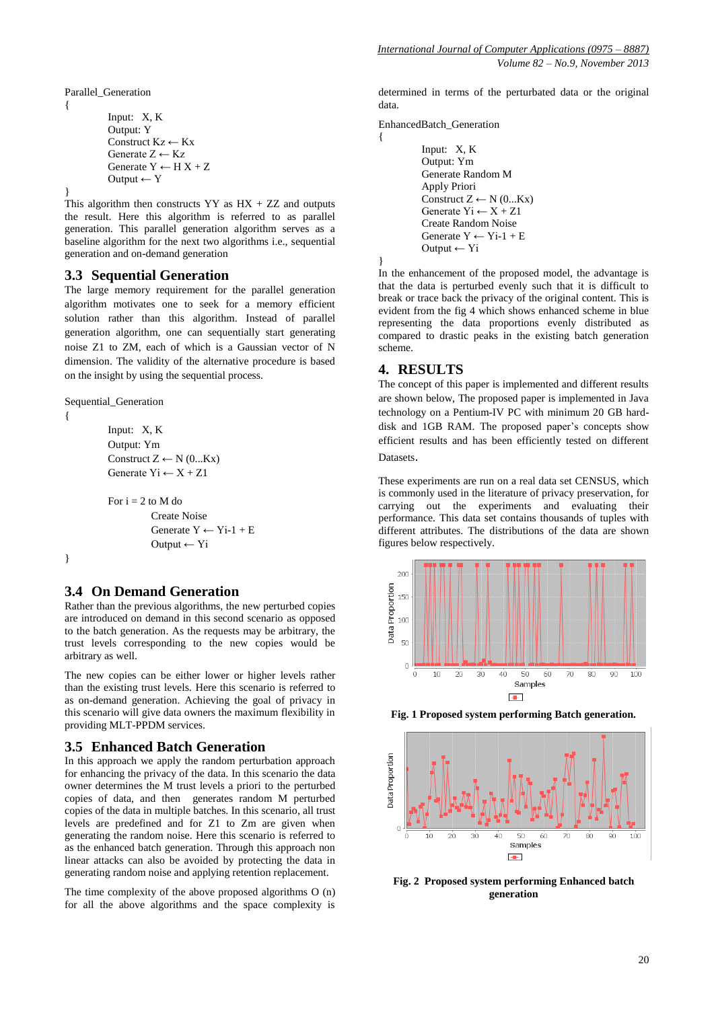Parallel\_Generation

{

}

```
Input: X, K
Output: Y
Construct Kz \leftarrow KxGenerate Z \leftarrow KzGenerate Y \leftarrow H X + ZOutput \leftarrow Y
```
This algorithm then constructs  $YY$  as  $HX + ZZ$  and outputs the result. Here this algorithm is referred to as parallel generation. This parallel generation algorithm serves as a baseline algorithm for the next two algorithms i.e., sequential generation and on-demand generation

### **3.3 Sequential Generation**

The large memory requirement for the parallel generation algorithm motivates one to seek for a memory efficient solution rather than this algorithm. Instead of parallel generation algorithm, one can sequentially start generating noise Z1 to ZM, each of which is a Gaussian vector of N dimension. The validity of the alternative procedure is based on the insight by using the sequential process.

Sequential\_Generation

```
{
```

```
Input: X, K
Output: Ym
Construct Z \leftarrow N(0...Kx)Generate yi \leftarrow X + Z1
```
For  $i = 2$  to M do Create Noise Generate  $Y \leftarrow Y - 1 + E$ Output ← Yi

}

# **3.4 On Demand Generation**

Rather than the previous algorithms, the new perturbed copies are introduced on demand in this second scenario as opposed to the batch generation. As the requests may be arbitrary, the trust levels corresponding to the new copies would be arbitrary as well.

The new copies can be either lower or higher levels rather than the existing trust levels. Here this scenario is referred to as on-demand generation. Achieving the goal of privacy in this scenario will give data owners the maximum flexibility in providing MLT-PPDM services.

### **3.5 Enhanced Batch Generation**

In this approach we apply the random perturbation approach for enhancing the privacy of the data. In this scenario the data owner determines the M trust levels a priori to the perturbed copies of data, and then generates random M perturbed copies of the data in multiple batches. In this scenario, all trust levels are predefined and for Z1 to Zm are given when generating the random noise. Here this scenario is referred to as the enhanced batch generation. Through this approach non linear attacks can also be avoided by protecting the data in generating random noise and applying retention replacement.

The time complexity of the above proposed algorithms O (n) for all the above algorithms and the space complexity is

determined in terms of the perturbated data or the original data.

EnhancedBatch\_Generation

{

}

```
Input: X, K
Output: Ym
Generate Random M
Apply Priori
Construct Z \leftarrow N(0...Kx)Generate yi \leftarrow X + Z1Create Random Noise
Generate Y \leftarrow Y - 1 + EOutput ← Yi
```
In the enhancement of the proposed model, the advantage is that the data is perturbed evenly such that it is difficult to break or trace back the privacy of the original content. This is evident from the fig 4 which shows enhanced scheme in blue representing the data proportions evenly distributed as compared to drastic peaks in the existing batch generation scheme.

## **4. RESULTS**

The concept of this paper is implemented and different results are shown below, The proposed paper is implemented in Java technology on a Pentium-IV PC with minimum 20 GB harddisk and 1GB RAM. The proposed paper's concepts show efficient results and has been efficiently tested on different Datasets.

These experiments are run on a real data set CENSUS, which is commonly used in the literature of privacy preservation, for carrying out the experiments and evaluating their performance. This data set contains thousands of tuples with different attributes. The distributions of the data are shown figures below respectively.



**Fig. 1 Proposed system performing Batch generation.**



**Fig. 2 Proposed system performing Enhanced batch generation**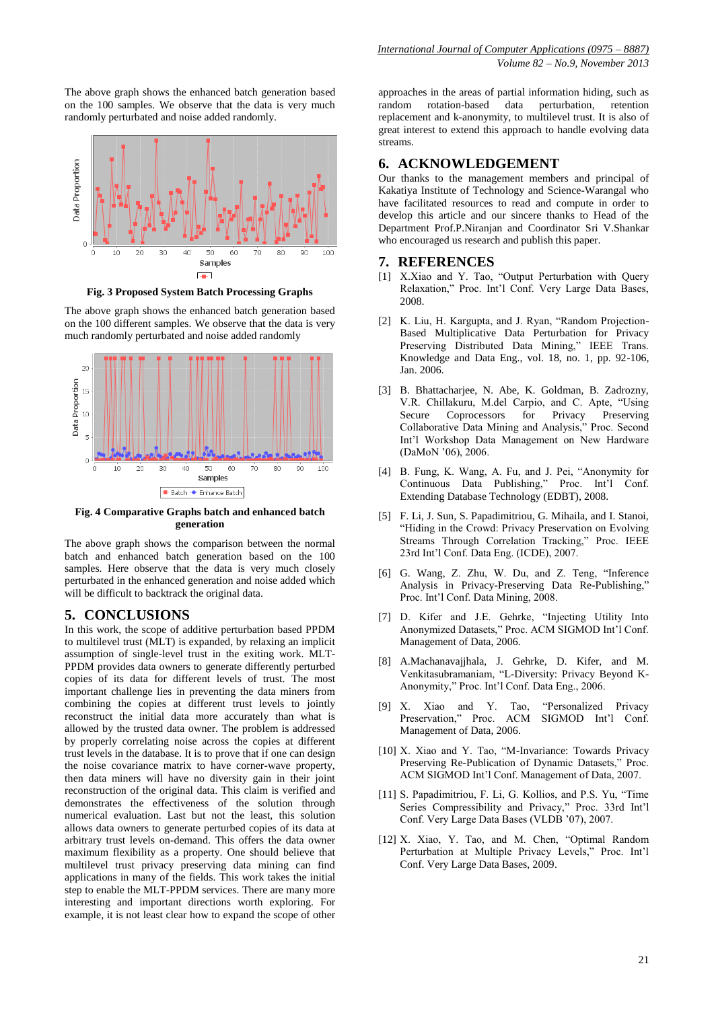The above graph shows the enhanced batch generation based on the 100 samples. We observe that the data is very much randomly perturbated and noise added randomly.



**Fig. 3 Proposed System Batch Processing Graphs**

The above graph shows the enhanced batch generation based on the 100 different samples. We observe that the data is very much randomly perturbated and noise added randomly



**Fig. 4 Comparative Graphs batch and enhanced batch generation**

The above graph shows the comparison between the normal batch and enhanced batch generation based on the 100 samples. Here observe that the data is very much closely perturbated in the enhanced generation and noise added which will be difficult to backtrack the original data.

### **5. CONCLUSIONS**

In this work, the scope of additive perturbation based PPDM to multilevel trust (MLT) is expanded, by relaxing an implicit assumption of single-level trust in the exiting work. MLT-PPDM provides data owners to generate differently perturbed copies of its data for different levels of trust. The most important challenge lies in preventing the data miners from combining the copies at different trust levels to jointly reconstruct the initial data more accurately than what is allowed by the trusted data owner. The problem is addressed by properly correlating noise across the copies at different trust levels in the database. It is to prove that if one can design the noise covariance matrix to have corner-wave property, then data miners will have no diversity gain in their joint reconstruction of the original data. This claim is verified and demonstrates the effectiveness of the solution through numerical evaluation. Last but not the least, this solution allows data owners to generate perturbed copies of its data at arbitrary trust levels on-demand. This offers the data owner maximum flexibility as a property. One should believe that multilevel trust privacy preserving data mining can find applications in many of the fields. This work takes the initial step to enable the MLT-PPDM services. There are many more interesting and important directions worth exploring. For example, it is not least clear how to expand the scope of other

approaches in the areas of partial information hiding, such as random rotation-based data perturbation, retention replacement and k-anonymity, to multilevel trust. It is also of great interest to extend this approach to handle evolving data streams.

# **6. ACKNOWLEDGEMENT**

Our thanks to the management members and principal of Kakatiya Institute of Technology and Science-Warangal who have facilitated resources to read and compute in order to develop this article and our sincere thanks to Head of the Department Prof.P.Niranjan and Coordinator Sri V.Shankar who encouraged us research and publish this paper.

### **7. REFERENCES**

- [1] X.Xiao and Y. Tao, "Output Perturbation with Query Relaxation," Proc. Int'l Conf. Very Large Data Bases, 2008.
- [2] K. Liu, H. Kargupta, and J. Ryan, "Random Projection-Based Multiplicative Data Perturbation for Privacy Preserving Distributed Data Mining," IEEE Trans. Knowledge and Data Eng., vol. 18, no. 1, pp. 92-106, Jan. 2006.
- [3] B. Bhattacharjee, N. Abe, K. Goldman, B. Zadrozny, V.R. Chillakuru, M.del Carpio, and C. Apte, "Using Secure Coprocessors for Privacy Preserving Collaborative Data Mining and Analysis," Proc. Second Int'l Workshop Data Management on New Hardware (DaMoN '06), 2006.
- [4] B. Fung, K. Wang, A. Fu, and J. Pei, "Anonymity for Continuous Data Publishing," Proc. Int'l Conf. Extending Database Technology (EDBT), 2008.
- [5] F. Li, J. Sun, S. Papadimitriou, G. Mihaila, and I. Stanoi, "Hiding in the Crowd: Privacy Preservation on Evolving Streams Through Correlation Tracking," Proc. IEEE 23rd Int'l Conf. Data Eng. (ICDE), 2007.
- [6] G. Wang, Z. Zhu, W. Du, and Z. Teng, "Inference Analysis in Privacy-Preserving Data Re-Publishing," Proc. Int'l Conf. Data Mining, 2008.
- [7] D. Kifer and J.E. Gehrke, "Injecting Utility Into Anonymized Datasets," Proc. ACM SIGMOD Int'l Conf. Management of Data, 2006.
- [8] A.Machanavajjhala, J. Gehrke, D. Kifer, and M. Venkitasubramaniam, "L-Diversity: Privacy Beyond K-Anonymity," Proc. Int'l Conf. Data Eng., 2006.
- [9] X. Xiao and Y. Tao, "Personalized Privacy Preservation," Proc. ACM SIGMOD Int'l Conf. Management of Data, 2006.
- [10] X. Xiao and Y. Tao, "M-Invariance: Towards Privacy Preserving Re-Publication of Dynamic Datasets," Proc. ACM SIGMOD Int'l Conf. Management of Data, 2007.
- [11] S. Papadimitriou, F. Li, G. Kollios, and P.S. Yu, "Time Series Compressibility and Privacy," Proc. 33rd Int'l Conf. Very Large Data Bases (VLDB '07), 2007.
- [12] X. Xiao, Y. Tao, and M. Chen, "Optimal Random Perturbation at Multiple Privacy Levels," Proc. Int'l Conf. Very Large Data Bases, 2009.